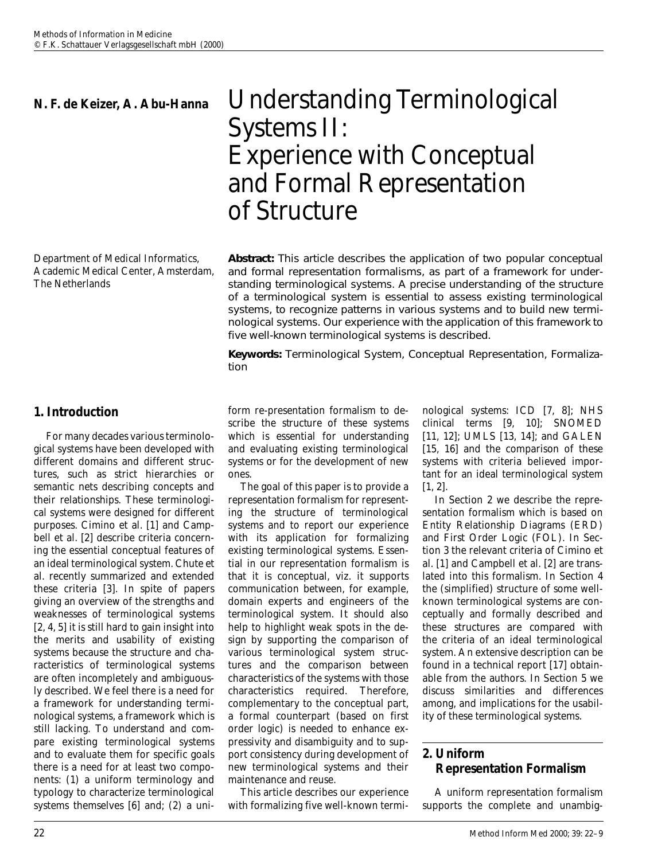Department of Medical Informatics, Academic Medical Center, Amsterdam, The Netherlands

# **1. Introduction**

For many decades various terminological systems have been developed with different domains and different structures, such as strict hierarchies or semantic nets describing concepts and their relationships. These terminological systems were designed for different purposes. Cimino et al. [1] and Campbell et al. [2] describe criteria concerning the essential conceptual features of an ideal terminological system. Chute et al. recently summarized and extended these criteria [3]. In spite of papers giving an overview of the strengths and weaknesses of terminological systems [2, 4, 5] it is still hard to gain insight into the merits and usability of existing systems because the structure and characteristics of terminological systems are often incompletely and ambiguously described. We feel there is a need for a framework for *understanding* terminological systems, a framework which is still lacking. To understand and compare existing terminological systems and to evaluate them for specific goals there is a need for at least two components: (1) a uniform terminology and typology to characterize terminological systems themselves [6] and; (2) a uni-

# **N. F. de Keizer, A. Abu-Hanna** Understanding Terminological Systems II: Experience with Conceptual and Formal Representation of Structure

**Abstract:** This article describes the application of two popular conceptual and formal representation formalisms, as part of a framework for understanding terminological systems. A precise understanding of the structure of a terminological system is essential to assess existing terminological systems, to recognize patterns in various systems and to build new terminological systems. Our experience with the application of this framework to five well-known terminological systems is described.

*Keywords:* Terminological System, Conceptual Representation, Formalization

form re-presentation formalism to describe the *structure* of these systems which is essential for understanding and evaluating existing terminological systems or for the development of new ones.

The goal of this paper is to provide a representation formalism for representing the structure of terminological systems and to report our experience with its application for formalizing existing terminological systems. Essential in our representation formalism is that it is conceptual, viz. it supports communication between, for example, domain experts and engineers of the terminological system. It should also help to highlight weak spots in the design by supporting the comparison of various terminological system structures and the comparison between characteristics of the systems with those characteristics required. Therefore, complementary to the conceptual part, a formal counterpart (based on first order logic) is needed to enhance expressivity and disambiguity and to support consistency during development of new terminological systems and their maintenance and reuse.

This article describes our experience with formalizing five well-known terminological systems: ICD [7, 8]; NHS clinical terms [9, 10]; SNOMED [11, 12]; UMLS [13, 14]; and GALEN [15, 16] and the comparison of these systems with criteria believed important for an ideal terminological system [1, 2].

In Section 2 we describe the representation formalism which is based on Entity Relationship Diagrams (ERD) and First Order Logic (FOL). In Section 3 the relevant criteria of Cimino et al. [1] and Campbell et al. [2] are translated into this formalism. In Section 4 the (simplified) structure of some wellknown terminological systems are conceptually and formally described and these structures are compared with the criteria of an ideal terminological system. An extensive description can be found in a technical report [17] obtainable from the authors. In Section 5 we discuss similarities and differences among, and implications for the usability of these terminological systems.

# **2. Uniform Representation Formalism**

A uniform representation formalism supports the complete and unambig-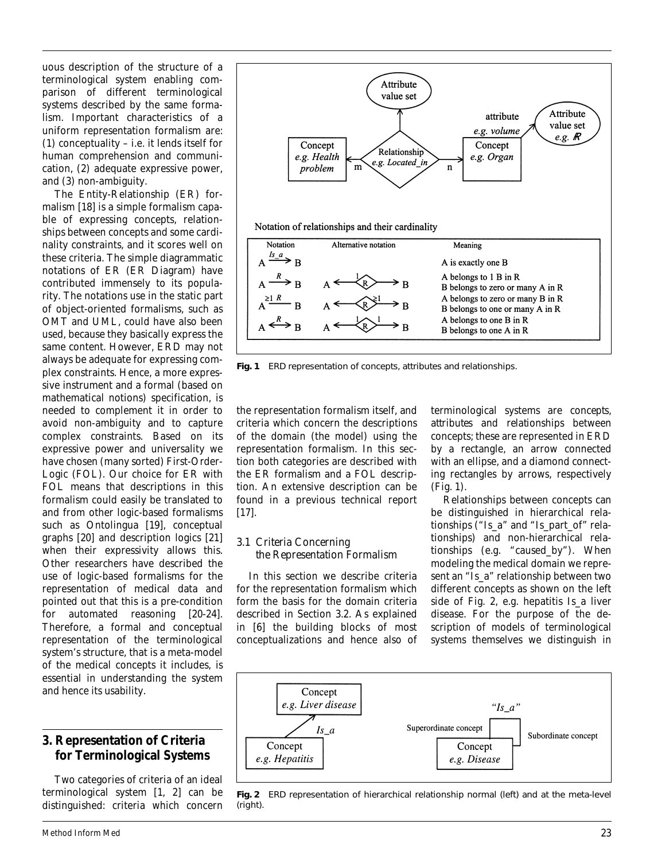uous description of the structure of a terminological system enabling comparison of different terminological systems described by the same formalism. Important characteristics of a uniform representation formalism are: (1) conceptuality – i.e. it lends itself for human comprehension and communication, (2) adequate expressive power, and (3) non-ambiguity.

The Entity-Relationship (ER) formalism [18] is a simple formalism capable of expressing concepts, relationships between concepts and some cardinality constraints, and it scores well on these criteria. The simple diagrammatic notations of ER (ER Diagram) have contributed immensely to its popularity. The notations use in the static part of object-oriented formalisms, such as OMT and UML, could have also been used, because they basically express the same content. However, ERD may not always be adequate for expressing complex constraints. Hence, a more expressive instrument and a formal (based on mathematical notions) specification, is needed to complement it in order to avoid non-ambiguity and to capture complex constraints. Based on its expressive power and universality we have chosen (many sorted) First-Order-Logic (FOL). Our choice for ER with FOL means that descriptions in this formalism could easily be translated to and from other logic-based formalisms such as Ontolingua [19], conceptual graphs [20] and description logics [21] when their expressivity allows this. Other researchers have described the use of logic-based formalisms for the representation of medical data and pointed out that this is a pre-condition for automated reasoning [20-24]. Therefore, a formal and conceptual representation of the terminological system's structure, that is a meta-model of the medical concepts it includes, is essential in understanding the system and hence its usability.

# **3. Representation of Criteria for Terminological Systems**

Two categories of criteria of an ideal terminological system [1, 2] can be distinguished: criteria which concern



**Fig. 1** ERD representation of concepts, attributes and relationships.

the representation formalism itself, and criteria which concern the descriptions of the domain (the model) using the representation formalism. In this section both categories are described with the ER formalism and a FOL description. An extensive description can be found in a previous technical report [17].

#### *3.1 Criteria Concerning the Representation Formalism*

In this section we describe criteria for the representation formalism which form the basis for the domain criteria described in Section 3.2. As explained in [6] the building blocks of most conceptualizations and hence also of terminological systems are *concepts, attributes* and *relationships* between concepts; these are represented in ERD by a rectangle, an arrow connected with an ellipse, and a diamond connecting rectangles by arrows, respectively (Fig. 1).

Relationships between concepts can be distinguished in hierarchical relationships ("Is\_a" and "Is\_part\_of" relationships) and non-hierarchical relationships (e.g. "caused\_by"). When modeling the medical domain we represent an "Is\_a" relationship between two different concepts as shown on the left side of Fig. 2, e.g. hepatitis *Is\_a* liver disease. For the purpose of the description of models of terminological systems themselves we distinguish in



**Fig. 2** ERD representation of hierarchical relationship normal (left) and at the meta-level (right).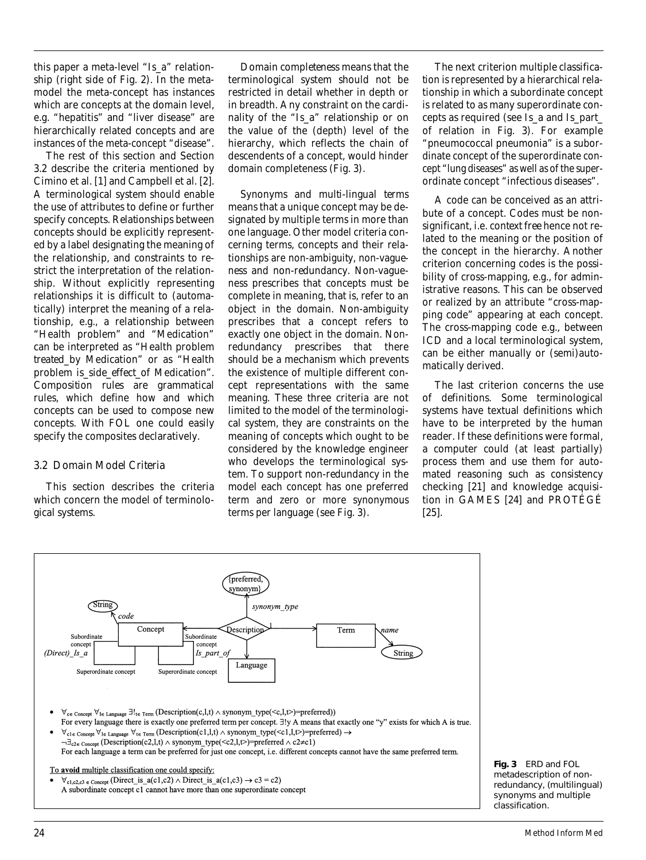this paper a meta-level "Is\_a" relationship (right side of Fig. 2). In the metamodel the meta-concept has instances which are concepts at the domain level, e.g. "hepatitis" and "liver disease" are hierarchically related concepts and are instances of the meta-concept "disease".

The rest of this section and Section 3.2 describe the criteria mentioned by Cimino et al. [1] and Campbell et al. [2]. A terminological system should enable the use of attributes to define or further specify concepts. *Relationships* between concepts should be *explicitly* represented by a label designating the meaning of the relationship, and constraints to restrict the interpretation of the relationship. Without explicitly representing relationships it is difficult to (automatically) interpret the meaning of a relationship, e.g., a relationship between "Health problem" and "Medication" can be interpreted as "Health problem *treated\_by* Medication" or as "Health problem *is\_side\_effect\_of* Medication". *Composition rules* are grammatical rules, which define how and which concepts can be used to compose new concepts. With FOL one could easily specify the composites declaratively.

## *3.2 Domain Model Criteria*

This section describes the criteria which concern the model of terminological systems.

*Domain completeness* means that the terminological system should not be restricted in detail whether in depth or in breadth. Any constraint on the cardinality of the "Is\_a" relationship or on the value of the (depth) level of the hierarchy, which reflects the chain of descendents of a concept, would hinder domain completeness (Fig. 3).

*Synonyms and multi-lingual terms* means that a unique concept may be designated by multiple terms in more than one language. Other model criteria concerning terms, concepts and their relationships are *non-ambiguity, non-vagueness* and *non-redundancy.* Non-vagueness prescribes that concepts must be complete in meaning, that is, refer to an object in the domain. Non-ambiguity prescribes that a concept refers to exactly one object in the domain. Nonredundancy prescribes that there should be a mechanism which prevents the existence of multiple different concept representations with the same meaning. These three criteria are not limited to the model of the terminological system, they are constraints on the meaning of concepts which ought to be considered by the knowledge engineer who develops the terminological system. To support *non-redundancy* in the model each concept has one preferred term and zero or more synonymous terms per language (see Fig. 3).

The next criterion *multiple classification* is represented by a hierarchical relationship in which a subordinate concept is related to as many superordinate concepts as required (see *Is\_a* and *Is\_part\_ of* relation in Fig. 3). For example "pneumococcal pneumonia" is a subordinate concept of the superordinate concept "lung diseases" as well as of the superordinate concept "infectious diseases".

A code can be conceived as an attribute of a concept. Codes must be nonsignificant, i.e. *context free* hence not related to the meaning or the position of the concept in the hierarchy. Another criterion concerning codes is the possibility of *cross-mapping,* e.g., for administrative reasons. This can be observed or realized by an attribute "cross-mapping code" appearing at each concept. The cross-mapping code e.g., between ICD and a local terminological system, can be either manually or (semi)automatically derived.

The last criterion concerns the *use of definitions.* Some terminological systems have textual definitions which have to be interpreted by the human reader. If these definitions were formal, a computer could (at least partially) process them and use them for automated reasoning such as consistency checking [21] and knowledge acquisition in GAMES [24] and PROTÉGÉ [25].



**Fig. 3** ERD and FOL metadescription of nonredundancy, (multilingual) synonyms and multiple classification.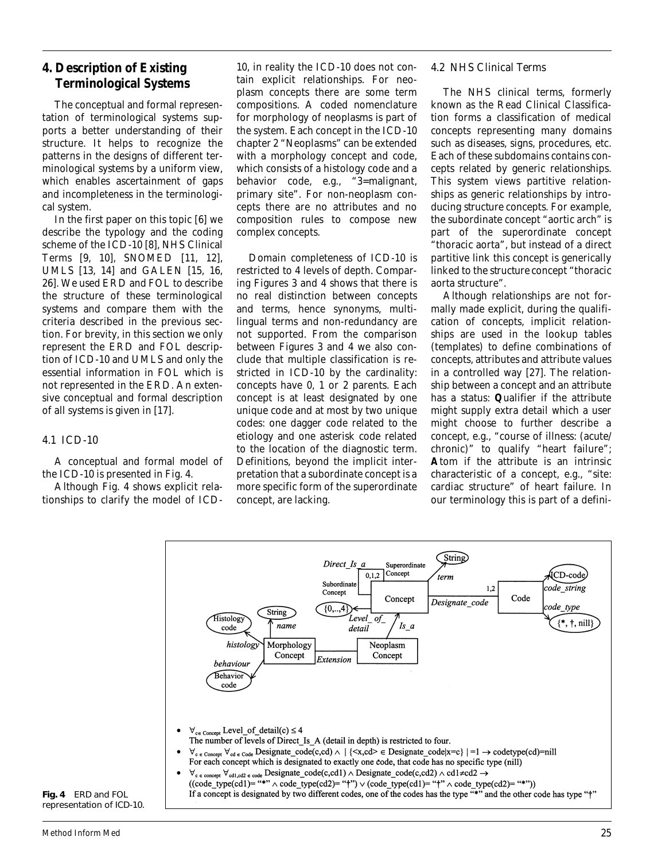# **4. Description of Existing Terminological Systems**

The conceptual and formal representation of terminological systems supports a better understanding of their structure. It helps to recognize the patterns in the designs of different terminological systems by a uniform view, which enables ascertainment of gaps and incompleteness in the terminological system.

In the first paper on this topic [6] we describe the typology and the coding scheme of the ICD-10 [8], NHS Clinical Terms [9, 10], SNOMED [11, 12], UMLS [13, 14] and GALEN [15, 16, 26]. We used ERD and FOL to describe the structure of these terminological systems and compare them with the criteria described in the previous section. For brevity, in this section we only represent the ERD and FOL description of ICD-10 and UMLS and only the essential information in FOL which is not represented in the ERD. An extensive conceptual and formal description of all systems is given in [17].

#### *4.1 ICD-10*

A conceptual and formal model of the ICD-10 is presented in Fig. 4.

Although Fig. 4 shows explicit relationships to clarify the model of ICD-

10, in reality the ICD-10 does not contain explicit relationships. For neoplasm concepts there are some term compositions. A coded nomenclature for morphology of neoplasms is part of the system. Each concept in the ICD-10 chapter 2 "Neoplasms" can be extended with a morphology concept and code, which consists of a histology code and a behavior code, e.g., "3=malignant, primary site". For non-neoplasm concepts there are no attributes and no composition rules to compose new complex concepts.

Domain completeness of ICD-10 is restricted to 4 levels of depth. Comparing Figures 3 and 4 shows that there is no real distinction between concepts and terms, hence synonyms, multilingual terms and non-redundancy are not supported. From the comparison between Figures 3 and 4 we also conclude that multiple classification is restricted in ICD-10 by the cardinality: concepts have 0, 1 or 2 parents. Each concept is at least designated by one unique code and at most by two unique codes: one dagger code related to the etiology and one asterisk code related to the location of the diagnostic term. Definitions, beyond the implicit interpretation that a subordinate concept is a more specific form of the superordinate concept, are lacking.

### *4.2 NHS Clinical Terms*

The NHS clinical terms, formerly known as the Read Clinical Classification forms a classification of medical concepts representing many domains such as diseases, signs, procedures, etc. Each of these subdomains contains concepts related by generic relationships. This system views partitive relationships as generic relationships by introducing *structure* concepts. For example, the subordinate concept "aortic arch" is part of the superordinate concept "thoracic aorta", but instead of a direct partitive link this concept is generically linked to the *structure* concept "thoracic aorta structure".

Although relationships are not formally made explicit, during the qualification of concepts, implicit relationships are used in the lookup tables (templates) to define combinations of concepts, attributes and attribute values in a controlled way [27]. The relationship between a concept and an attribute has a status: **Q**ualifier if the attribute might supply extra detail which a user might choose to further describe a concept, e.g., "course of illness: (acute/ chronic)" to qualify "heart failure"; **A**tom if the attribute is an intrinsic characteristic of a concept, e.g., "site: cardiac structure" of heart failure. In our terminology this is part of a defini-



**Fig. 4** ERD and FOL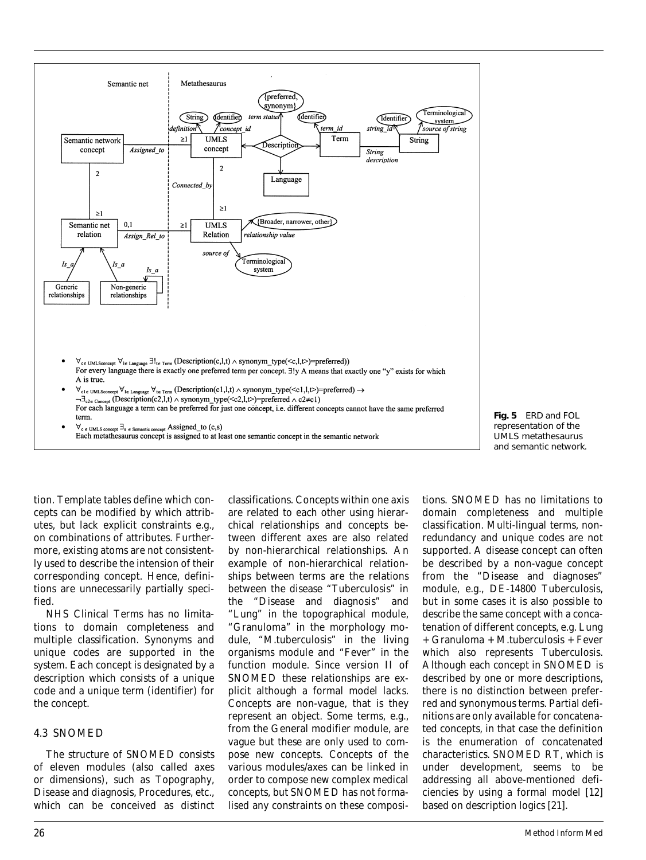



tion. Template tables define which concepts can be modified by which attributes, but lack explicit constraints e.g., on combinations of attributes. Furthermore, existing atoms are not consistently used to describe the intension of their corresponding concept. Hence, definitions are unnecessarily partially specified.

NHS Clinical Terms has no limitations to domain completeness and multiple classification. Synonyms and unique codes are supported in the system. Each concept is designated by a description which consists of a unique code and a unique term (identifier) for the concept.

#### *4.3 SNOMED*

The structure of SNOMED consists of eleven modules (also called axes or dimensions), such as Topography, Disease and diagnosis, Procedures, etc., which can be conceived as distinct classifications. Concepts within one axis are related to each other using hierarchical relationships and concepts between different axes are also related by non-hierarchical relationships. An example of non-hierarchical relationships between terms are the relations between the disease "Tuberculosis" in the "Disease and diagnosis" and "Lung" in the topographical module, "Granuloma" in the morphology module, "M.tuberculosis" in the living organisms module and "Fever" in the function module. Since version II of SNOMED these relationships are explicit although a formal model lacks. Concepts are non-vague, that is they represent an object. Some terms, e.g., from the General modifier module, are vague but these are only used to compose new concepts. Concepts of the various modules/axes can be linked in order to compose new complex medical concepts, but SNOMED has not formalised any constraints on these compositions. SNOMED has no limitations to domain completeness and multiple classification. Multi-lingual terms, nonredundancy and unique codes are not supported. A disease concept can often be described by a non-vague concept from the "Disease and diagnoses" module, e.g., DE-14800 Tuberculosis, but in some cases it is also possible to describe the same concept with a concatenation of different concepts, e.g. Lung + Granuloma + M.tuberculosis + Fever which also represents Tuberculosis. Although each concept in SNOMED is described by one or more descriptions, there is no distinction between preferred and synonymous terms. Partial definitions are only available for concatenated concepts, in that case the definition is the enumeration of concatenated characteristics. SNOMED RT, which is under development, seems to be addressing all above-mentioned deficiencies by using a formal model [12] based on description logics [21].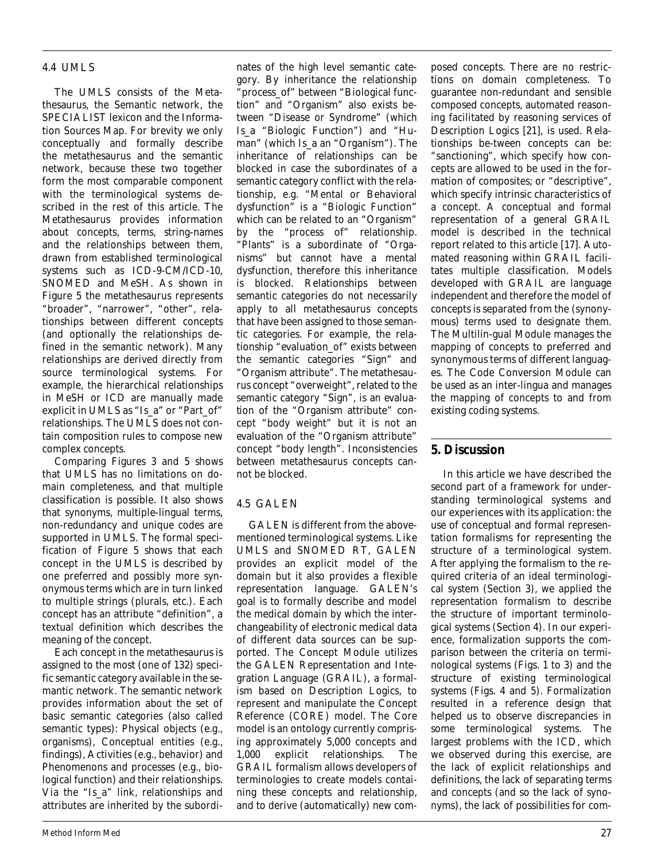# *4.4 UMLS*

The UMLS consists of the Metathesaurus, the Semantic network, the SPECIALIST lexicon and the Information Sources Map. For brevity we only conceptually and formally describe the metathesaurus and the semantic network, because these two together form the most comparable component with the terminological systems described in the rest of this article. The Metathesaurus provides information about concepts, terms, string-names and the relationships between them, drawn from established terminological systems such as ICD-9-CM/ICD-10, SNOMED and MeSH. As shown in Figure 5 the metathesaurus represents "broader", "narrower", "other", relationships between different concepts (and optionally the relationships defined in the semantic network). Many relationships are derived directly from source terminological systems. For example, the hierarchical relationships in MeSH or ICD are manually made explicit in UMLS as "Is\_a" or "Part\_of" relationships. The UMLS does not contain composition rules to compose new complex concepts.

Comparing Figures 3 and 5 shows that UMLS has no limitations on domain completeness, and that multiple classification is possible. It also shows that synonyms, multiple-lingual terms, non-redundancy and unique codes are supported in UMLS. The formal specification of Figure 5 shows that each concept in the UMLS is described by one preferred and possibly more synonymous terms which are in turn linked to multiple strings (plurals, etc.). Each concept has an attribute "definition", a textual definition which describes the meaning of the concept.

Each concept in the metathesaurus is assigned to the most (one of 132) specific semantic category available in the semantic network. The semantic network provides information about the set of basic semantic categories (also called semantic types): Physical objects (e.g., organisms), Conceptual entities (e.g., findings), Activities (e.g., behavior) and Phenomenons and processes (e.g., biological function) and their relationships. Via the "Is\_a" link, relationships and attributes are inherited by the subordi-

nates of the high level semantic category. By inheritance the relationship "process\_of" between "Biological function" and "Organism" also exists between "Disease or Syndrome" (which *Is\_a* "Biologic Function") and "Human" (which *Is\_a* an "Organism"). The inheritance of relationships can be blocked in case the subordinates of a semantic category conflict with the relationship, e.g. "Mental or Behavioral dysfunction" is a "Biologic Function" which can be related to an "Organism" by the "process of" relationship. "Plants" is a subordinate of "Organisms" but cannot have a mental dysfunction, therefore this inheritance is blocked. Relationships between semantic categories do not necessarily apply to all metathesaurus concepts that have been assigned to those semantic categories. For example, the relationship *"evaluation\_of"* exists between the semantic categories "Sign" and "Organism attribute". The metathesaurus concept "overweight", related to the semantic category "Sign", is an *evaluation of* the "Organism attribute" concept "body weight" but it is not an *evaluation of* the "Organism attribute" concept "body length". Inconsistencies between metathesaurus concepts cannot be blocked.

# *4.5 GALEN*

GALEN is different from the abovementioned terminological systems. Like UMLS and SNOMED RT, GALEN provides an explicit model of the domain but it also provides a flexible representation language. GALEN's goal is to formally describe and model the medical domain by which the interchangeability of electronic medical data of different data sources can be supported. The Concept Module utilizes the GALEN Representation and Integration Language (GRAIL), a formalism based on Description Logics, to represent and manipulate the Concept Reference (CORE) model. The Core model is an ontology currently comprising approximately 5,000 concepts and 1,000 explicit relationships. The GRAIL formalism allows developers of terminologies to create models containing these concepts and relationship, and to derive (automatically) new composed concepts. There are no restrictions on domain completeness. To guarantee non-redundant and sensible composed concepts, automated reasoning facilitated by reasoning services of Description Logics [21], is used. Relationships be-tween concepts can be: "sanctioning", which specify how concepts are allowed to be used in the formation of composites; or "descriptive", which specify intrinsic characteristics of a concept. A conceptual and formal representation of a general GRAIL model is described in the technical report related to this article [17]. Automated reasoning within GRAIL facilitates multiple classification. Models developed with GRAIL are language independent and therefore the model of concepts is separated from the (synonymous) terms used to designate them. The Multilin-gual Module manages the mapping of concepts to preferred and synonymous terms of different languages. The Code Conversion Module can be used as an inter-lingua and manages the mapping of concepts to and from existing coding systems.

# **5. Discussion**

In this article we have described the second part of a framework for understanding terminological systems and our experiences with its application: the use of conceptual and formal representation formalisms for representing the structure of a terminological system. After applying the formalism to the required criteria of an ideal terminological system (Section 3), we applied the representation formalism to describe the structure of important terminological systems (Section 4). In our experience, formalization supports the comparison between the criteria on terminological systems (Figs. 1 to 3) and the structure of existing terminological systems (Figs. 4 and 5). Formalization resulted in a reference design that helped us to observe discrepancies in some terminological systems. The largest problems with the ICD, which we observed during this exercise, are the lack of explicit relationships and definitions, the lack of separating terms and concepts (and so the lack of synonyms), the lack of possibilities for com-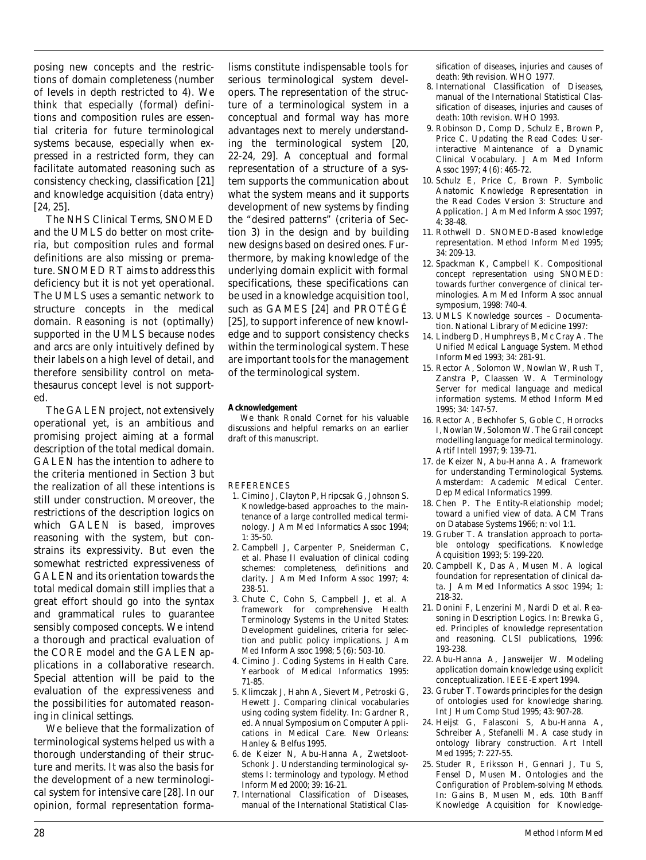posing new concepts and the restrictions of domain completeness (number of levels in depth restricted to 4). We think that especially (formal) definitions and composition rules are essential criteria for future terminological systems because, especially when expressed in a restricted form, they can facilitate automated reasoning such as consistency checking, classification [21] and knowledge acquisition (data entry) [24, 25].

The NHS Clinical Terms, SNOMED and the UMLS do better on most criteria, but composition rules and formal definitions are also missing or premature. SNOMED RT aims to address this deficiency but it is not yet operational. The UMLS uses a semantic network to structure concepts in the medical domain. Reasoning is not (optimally) supported in the UMLS because nodes and arcs are only intuitively defined by their labels on a high level of detail, and therefore sensibility control on metathesaurus concept level is not supported.

The GALEN project, not extensively operational yet, is an ambitious and promising project aiming at a formal description of the total medical domain. GALEN has the intention to adhere to the criteria mentioned in Section 3 but the realization of all these intentions is still under construction. Moreover, the restrictions of the description logics on which GALEN is based, improves reasoning with the system, but constrains its expressivity. But even the somewhat restricted expressiveness of GALEN and its orientation towards the total medical domain still implies that a great effort should go into the syntax and grammatical rules to guarantee sensibly composed concepts. We intend a thorough and practical evaluation of the CORE model and the GALEN applications in a collaborative research. Special attention will be paid to the evaluation of the expressiveness and the possibilities for automated reasoning in clinical settings.

We believe that the formalization of terminological systems helped us with a thorough understanding of their structure and merits. It was also the basis for the development of a new terminological system for intensive care [28]. In our opinion, formal representation formalisms constitute indispensable tools for serious terminological system developers. The representation of the structure of a terminological system in a conceptual and formal way has more advantages next to merely *understanding* the terminological system [20, 22-24, 29]. A conceptual and formal representation of a structure of a system supports the communication about what the system means and it supports development of new systems by finding the "desired patterns" (criteria of Section 3) in the design and by building new designs based on desired ones. Furthermore, by making knowledge of the underlying domain explicit with formal specifications, these specifications can be used in a knowledge acquisition tool, such as GAMES [24] and PROTÉGÉ [25], to support inference of new knowledge and to support consistency checks within the terminological system. These are important tools for the management of the terminological system.

#### **Acknowledgement**

We thank Ronald Cornet for his valuable discussions and helpful remarks on an earlier draft of this manuscript.

#### REFERENCES

- 1. Cimino J, Clayton P, Hripcsak G, Johnson S. Knowledge-based approaches to the maintenance of a large controlled medical terminology. J Am Med Informatics Assoc 1994; 1: 35-50.
- 2. Campbell J, Carpenter P, Sneiderman C, et al. Phase II evaluation of clinical coding schemes: completeness, definitions and clarity. J Am Med Inform Assoc 1997; 4: 238-51.
- 3. Chute C, Cohn S, Campbell J, et al. A framework for comprehensive Health Terminology Systems in the United States: Development guidelines, criteria for selection and public policy implications. J Am Med Inform Assoc 1998; 5 (6): 503-10.
- 4. Cimino J. Coding Systems in Health Care. Yearbook of Medical Informatics 1995: 71-85.
- 5. Klimczak J, Hahn A, Sievert M, Petroski G, Hewett J. Comparing clinical vocabularies using coding system fidelity. In: Gardner R, ed. Annual Symposium on Computer Applications in Medical Care. New Orleans: Hanley & Belfus 1995.
- 6. de Keizer N, Abu-Hanna A, Zwetsloot-Schonk J. Understanding terminological systems I: terminology and typology. Method Inform Med 2000; 39: 16-21.
- 7. International Classification of Diseases, manual of the International Statistical Clas-

sification of diseases, injuries and causes of death: 9th revision. WHO 1977.

- 8. International Classification of Diseases, manual of the International Statistical Classification of diseases, injuries and causes of death: 10th revision. WHO 1993.
- 9. Robinson D, Comp D, Schulz E, Brown P, Price C. Updating the Read Codes: Userinteractive Maintenance of a Dynamic Clinical Vocabulary. J Am Med Inform Assoc 1997; 4 (6): 465-72.
- 10. Schulz E, Price C, Brown P. Symbolic Anatomic Knowledge Representation in the Read Codes Version 3: Structure and Application. J Am Med Inform Assoc 1997; 4: 38-48.
- 11. Rothwell D. SNOMED-Based knowledge representation. Method Inform Med 1995; 34: 209-13.
- 12. Spackman K, Campbell K. Compositional concept representation using SNOMED: towards further convergence of clinical terminologies. Am Med Inform Assoc annual symposium, 1998: 740-4.
- 13. UMLS Knowledge sources Documentation. National Library of Medicine 1997:
- 14. Lindberg D, Humphreys B, Mc Cray A. The Unified Medical Language System. Method Inform Med 1993; 34: 281-91.
- 15. Rector A, Solomon W, Nowlan W, Rush T, Zanstra P, Claassen W. A Terminology Server for medical language and medical information systems. Method Inform Med 1995; 34: 147-57.
- 16. Rector A, Bechhofer S, Goble C, Horrocks I, Nowlan W, Solomon W. The Grail concept modelling language for medical terminology. Artif Intell 1997; 9: 139-71.
- 17. de Keizer N, Abu-Hanna A. A framework for understanding Terminological Systems. Amsterdam: Academic Medical Center. Dep Medical Informatics 1999.
- 18. Chen P. The Entity-Relationship model; toward a unified view of data. ACM Trans on Database Systems 1966; n: vol 1:1.
- 19. Gruber T. A translation approach to portable ontology specifications. Knowledge Acquisition 1993; 5: 199-220.
- 20. Campbell K, Das A, Musen M. A logical foundation for representation of clinical data. J Am Med Informatics Assoc 1994; 1: 218-32.
- 21. Donini F, Lenzerini M, Nardi D et al. Reasoning in Description Logics. In: Brewka G, ed. Principles of knowledge representation and reasoning. CLSI publications, 1996: 193-238.
- 22. Abu-Hanna A, Jansweijer W. Modeling application domain knowledge using explicit conceptualization. IEEE-Expert 1994.
- 23. Gruber T. Towards principles for the design of ontologies used for knowledge sharing. Int J Hum Comp Stud 1995; 43: 907-28.
- 24. Heijst G, Falasconi S, Abu-Hanna A, Schreiber A, Stefanelli M. A case study in ontology library construction. Art Intell Med 1995; 7: 227-55.
- 25. Studer R, Eriksson H, Gennari J, Tu S, Fensel D, Musen M. Ontologies and the Configuration of Problem-solving Methods. In: Gains B, Musen M, eds. 10th Banff Knowledge Acquisition for Knowledge-